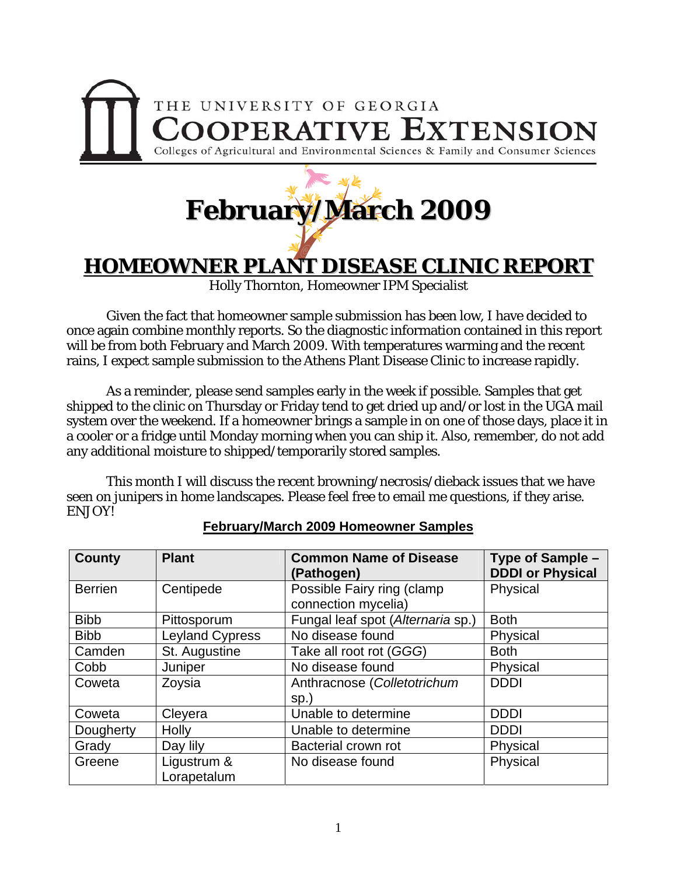

## **February/March 2009**

## **HOMEOWNER PLANT DISEASE CLINIC REPORT**

Holly Thornton, Homeowner IPM Specialist

 Given the fact that homeowner sample submission has been low, I have decided to once again combine monthly reports. So the diagnostic information contained in this report will be from both February and March 2009. With temperatures warming and the recent rains, I expect sample submission to the Athens Plant Disease Clinic to increase rapidly.

 As a reminder, please send samples early in the week if possible. Samples that get shipped to the clinic on Thursday or Friday tend to get dried up and/or lost in the UGA mail system over the weekend. If a homeowner brings a sample in on one of those days, place it in a cooler or a fridge until Monday morning when you can ship it. Also, remember, do not add any additional moisture to shipped/temporarily stored samples.

 This month I will discuss the recent browning/necrosis/dieback issues that we have seen on junipers in home landscapes. Please feel free to email me questions, if they arise. ENJOY!

| County         | <b>Plant</b>               | <b>Common Name of Disease</b><br>(Pathogen)       | Type of Sample -<br><b>DDDI or Physical</b> |
|----------------|----------------------------|---------------------------------------------------|---------------------------------------------|
| <b>Berrien</b> | Centipede                  | Possible Fairy ring (clamp<br>connection mycelia) | Physical                                    |
| <b>Bibb</b>    | Pittosporum                | Fungal leaf spot (Alternaria sp.)                 | <b>Both</b>                                 |
| <b>Bibb</b>    | <b>Leyland Cypress</b>     | No disease found                                  | Physical                                    |
| Camden         | St. Augustine              | Take all root rot (GGG)                           | <b>Both</b>                                 |
| Cobb           | Juniper                    | No disease found                                  | Physical                                    |
| Coweta         | Zoysia                     | Anthracnose (Colletotrichum<br>$sp.$ )            | <b>DDDI</b>                                 |
| Coweta         | Cleyera                    | Unable to determine                               | <b>DDDI</b>                                 |
| Dougherty      | Holly                      | Unable to determine                               | <b>DDDI</b>                                 |
| Grady          | Day lily                   | Bacterial crown rot                               | Physical                                    |
| Greene         | Ligustrum &<br>Lorapetalum | No disease found                                  | Physical                                    |

## **February/March 2009 Homeowner Samples**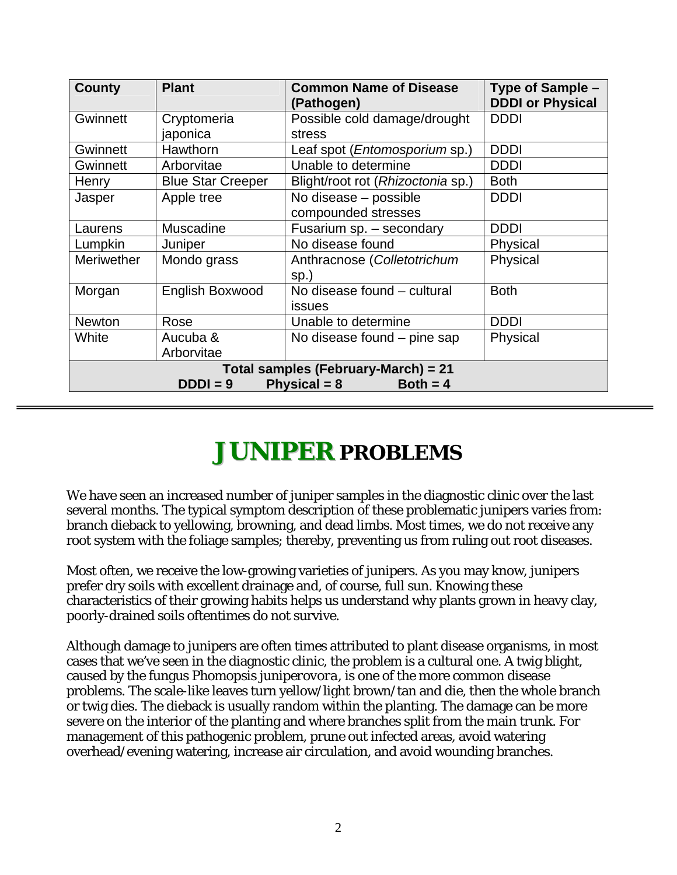| <b>County</b>                                                                     | <b>Plant</b>             | <b>Common Name of Disease</b><br>(Pathogen) | Type of Sample -<br><b>DDDI or Physical</b> |  |
|-----------------------------------------------------------------------------------|--------------------------|---------------------------------------------|---------------------------------------------|--|
| Gwinnett                                                                          | Cryptomeria              | Possible cold damage/drought                | <b>DDDI</b>                                 |  |
|                                                                                   | japonica                 | stress                                      |                                             |  |
| <b>Gwinnett</b>                                                                   | Hawthorn                 | Leaf spot ( <i>Entomosporium</i> sp.)       | <b>DDDI</b>                                 |  |
| <b>Gwinnett</b>                                                                   | Arborvitae               | Unable to determine                         | <b>DDDI</b>                                 |  |
| Henry                                                                             | <b>Blue Star Creeper</b> | Blight/root rot (Rhizoctonia sp.)           | <b>Both</b>                                 |  |
| Jasper                                                                            | Apple tree               | No disease - possible                       | <b>DDDI</b>                                 |  |
|                                                                                   |                          | compounded stresses                         |                                             |  |
| Laurens                                                                           | Muscadine                | Fusarium sp. - secondary                    | <b>DDDI</b>                                 |  |
| Lumpkin                                                                           | Juniper                  | No disease found                            | Physical                                    |  |
| <b>Meriwether</b>                                                                 | Mondo grass              | Anthracnose (Colletotrichum                 | Physical                                    |  |
|                                                                                   |                          | $sp.$ )                                     |                                             |  |
| Morgan                                                                            | <b>English Boxwood</b>   | No disease found - cultural                 | <b>Both</b>                                 |  |
|                                                                                   |                          | <b>issues</b>                               |                                             |  |
| <b>Newton</b>                                                                     | Rose                     | Unable to determine                         | <b>DDDI</b>                                 |  |
| White                                                                             | Aucuba &                 | No disease found – pine sap                 | Physical                                    |  |
|                                                                                   | Arborvitae               |                                             |                                             |  |
| Total samples (February-March) = 21<br>Physical = $8$<br>$DDDI = 9$<br>$Both = 4$ |                          |                                             |                                             |  |

## **JUNIPER PROBLEMS**

We have seen an increased number of juniper samples in the diagnostic clinic over the last several months. The typical symptom description of these problematic junipers varies from: branch dieback to yellowing, browning, and dead limbs. Most times, we do not receive any root system with the foliage samples; thereby, preventing us from ruling out root diseases.

Most often, we receive the low-growing varieties of junipers. As you may know, junipers prefer dry soils with excellent drainage and, of course, full sun. Knowing these characteristics of their growing habits helps us understand why plants grown in heavy clay, poorly-drained soils oftentimes do not survive.

Although damage to junipers are often times attributed to plant disease organisms, in most cases that we've seen in the diagnostic clinic, the problem is a cultural one. A twig blight, caused by the fungus *Phomopsis juniperovora*, is one of the more common disease problems. The scale-like leaves turn yellow/light brown/tan and die, then the whole branch or twig dies. The dieback is usually random within the planting. The damage can be more severe on the interior of the planting and where branches split from the main trunk. For management of this pathogenic problem, prune out infected areas, avoid watering overhead/evening watering, increase air circulation, and avoid wounding branches.